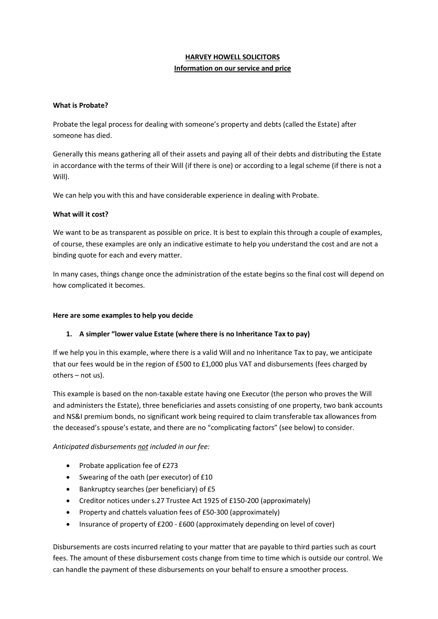# **HARVEY HOWELL SOLICITORS Information on our service and price**

### **What is Probate?**

Probate the legal process for dealing with someone's property and debts (called the Estate) after someone has died.

Generally this means gathering all of their assets and paying all of their debts and distributing the Estate in accordance with the terms of their Will (if there is one) or according to a legal scheme (if there is not a Will).

We can help you with this and have considerable experience in dealing with Probate.

#### **What will it cost?**

We want to be as transparent as possible on price. It is best to explain this through a couple of examples, of course, these examples are only an indicative estimate to help you understand the cost and are not a binding quote for each and every matter.

In many cases, things change once the administration of the estate begins so the final cost will depend on how complicated it becomes.

#### **Here are some examples to help you decide**

# **1. A simpler "lower value Estate (where there is no Inheritance Tax to pay)**

If we help you in this example, where there is a valid Will and no Inheritance Tax to pay, we anticipate that our fees would be in the region of £500 to £1,000 plus VAT and disbursements (fees charged by others – not us).

This example is based on the non-taxable estate having one Executor (the person who proves the Will and administers the Estate), three beneficiaries and assets consisting of one property, two bank accounts and NS&I premium bonds, no significant work being required to claim transferable tax allowances from the deceased's spouse's estate, and there are no "complicating factors" (see below) to consider.

# *Anticipated disbursements not included in our fee:*

- Probate application fee of £273
- Swearing of the oath (per executor) of £10
- Bankruptcy searches (per beneficiary) of £5
- Creditor notices under s.27 Trustee Act 1925 of £150-200 (approximately)
- Property and chattels valuation fees of £50-300 (approximately)
- Insurance of property of £200 £600 (approximately depending on level of cover)

Disbursements are costs incurred relating to your matter that are payable to third parties such as court fees. The amount of these disbursement costs change from time to time which is outside our control. We can handle the payment of these disbursements on your behalf to ensure a smoother process.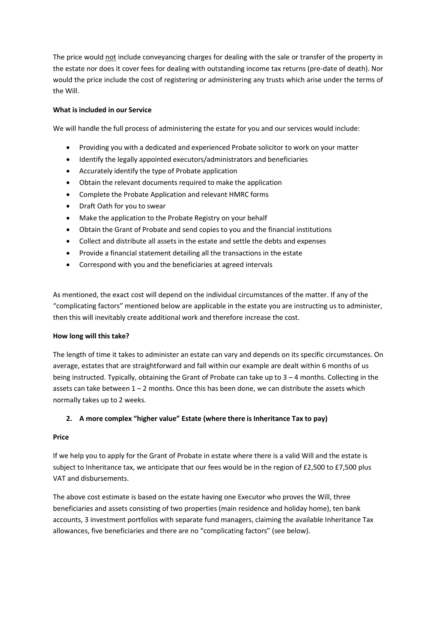The price would not include conveyancing charges for dealing with the sale or transfer of the property in the estate nor does it cover fees for dealing with outstanding income tax returns (pre-date of death). Nor would the price include the cost of registering or administering any trusts which arise under the terms of the Will.

## **What is included in our Service**

We will handle the full process of administering the estate for you and our services would include:

- Providing you with a dedicated and experienced Probate solicitor to work on your matter
- Identify the legally appointed executors/administrators and beneficiaries
- Accurately identify the type of Probate application
- Obtain the relevant documents required to make the application
- Complete the Probate Application and relevant HMRC forms
- Draft Oath for you to swear
- Make the application to the Probate Registry on your behalf
- Obtain the Grant of Probate and send copies to you and the financial institutions
- Collect and distribute all assets in the estate and settle the debts and expenses
- Provide a financial statement detailing all the transactions in the estate
- Correspond with you and the beneficiaries at agreed intervals

As mentioned, the exact cost will depend on the individual circumstances of the matter. If any of the "complicating factors" mentioned below are applicable in the estate you are instructing us to administer, then this will inevitably create additional work and therefore increase the cost.

#### **How long will this take?**

The length of time it takes to administer an estate can vary and depends on its specific circumstances. On average, estates that are straightforward and fall within our example are dealt within 6 months of us being instructed. Typically, obtaining the Grant of Probate can take up to 3 – 4 months. Collecting in the assets can take between  $1 - 2$  months. Once this has been done, we can distribute the assets which normally takes up to 2 weeks.

#### **2. A more complex "higher value" Estate (where there is Inheritance Tax to pay)**

#### **Price**

If we help you to apply for the Grant of Probate in estate where there is a valid Will and the estate is subject to Inheritance tax, we anticipate that our fees would be in the region of £2,500 to £7,500 plus VAT and disbursements.

The above cost estimate is based on the estate having one Executor who proves the Will, three beneficiaries and assets consisting of two properties (main residence and holiday home), ten bank accounts, 3 investment portfolios with separate fund managers, claiming the available Inheritance Tax allowances, five beneficiaries and there are no "complicating factors" (see below).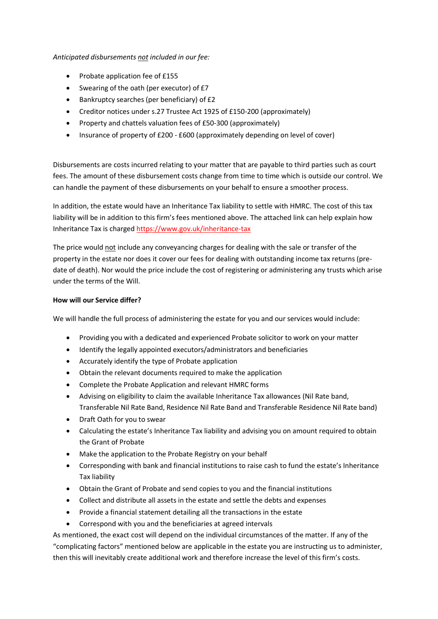### *Anticipated disbursements not included in our fee:*

- Probate application fee of £155
- Swearing of the oath (per executor) of £7
- Bankruptcy searches (per beneficiary) of £2
- Creditor notices under s.27 Trustee Act 1925 of £150-200 (approximately)
- Property and chattels valuation fees of £50-300 (approximately)
- Insurance of property of £200 £600 (approximately depending on level of cover)

Disbursements are costs incurred relating to your matter that are payable to third parties such as court fees. The amount of these disbursement costs change from time to time which is outside our control. We can handle the payment of these disbursements on your behalf to ensure a smoother process.

In addition, the estate would have an Inheritance Tax liability to settle with HMRC. The cost of this tax liability will be in addition to this firm's fees mentioned above. The attached link can help explain how Inheritance Tax is charged https:/[/www.gov.uk/inheritance-tax](http://www.gov.uk/inheritance-tax)

The price would not include any conveyancing charges for dealing with the sale or transfer of the property in the estate nor does it cover our fees for dealing with outstanding income tax returns (predate of death). Nor would the price include the cost of registering or administering any trusts which arise under the terms of the Will.

#### **How will our Service differ?**

We will handle the full process of administering the estate for you and our services would include:

- Providing you with a dedicated and experienced Probate solicitor to work on your matter
- Identify the legally appointed executors/administrators and beneficiaries
- Accurately identify the type of Probate application
- Obtain the relevant documents required to make the application
- Complete the Probate Application and relevant HMRC forms
- Advising on eligibility to claim the available Inheritance Tax allowances (Nil Rate band, Transferable Nil Rate Band, Residence Nil Rate Band and Transferable Residence Nil Rate band)
- Draft Oath for you to swear
- Calculating the estate's Inheritance Tax liability and advising you on amount required to obtain the Grant of Probate
- Make the application to the Probate Registry on your behalf
- Corresponding with bank and financial institutions to raise cash to fund the estate's Inheritance Tax liability
- Obtain the Grant of Probate and send copies to you and the financial institutions
- Collect and distribute all assets in the estate and settle the debts and expenses
- Provide a financial statement detailing all the transactions in the estate
- Correspond with you and the beneficiaries at agreed intervals

As mentioned, the exact cost will depend on the individual circumstances of the matter. If any of the "complicating factors" mentioned below are applicable in the estate you are instructing us to administer, then this will inevitably create additional work and therefore increase the level of this firm's costs.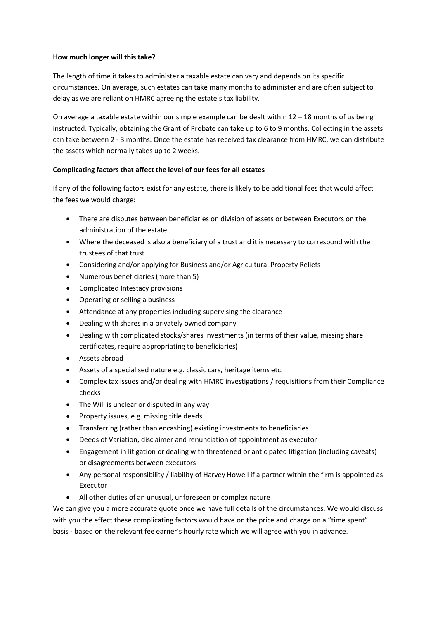#### **How much longer will this take?**

The length of time it takes to administer a taxable estate can vary and depends on its specific circumstances. On average, such estates can take many months to administer and are often subject to delay as we are reliant on HMRC agreeing the estate's tax liability.

On average a taxable estate within our simple example can be dealt within  $12 - 18$  months of us being instructed. Typically, obtaining the Grant of Probate can take up to 6 to 9 months. Collecting in the assets can take between 2 - 3 months. Once the estate has received tax clearance from HMRC, we can distribute the assets which normally takes up to 2 weeks.

#### **Complicating factors that affect the level of our fees for all estates**

If any of the following factors exist for any estate, there is likely to be additional fees that would affect the fees we would charge:

- There are disputes between beneficiaries on division of assets or between Executors on the administration of the estate
- Where the deceased is also a beneficiary of a trust and it is necessary to correspond with the trustees of that trust
- Considering and/or applying for Business and/or Agricultural Property Reliefs
- Numerous beneficiaries (more than 5)
- Complicated Intestacy provisions
- Operating or selling a business
- Attendance at any properties including supervising the clearance
- Dealing with shares in a privately owned company
- Dealing with complicated stocks/shares investments (in terms of their value, missing share certificates, require appropriating to beneficiaries)
- Assets abroad
- Assets of a specialised nature e.g. classic cars, heritage items etc.
- Complex tax issues and/or dealing with HMRC investigations / requisitions from their Compliance checks
- The Will is unclear or disputed in any way
- Property issues, e.g. missing title deeds
- Transferring (rather than encashing) existing investments to beneficiaries
- Deeds of Variation, disclaimer and renunciation of appointment as executor
- Engagement in litigation or dealing with threatened or anticipated litigation (including caveats) or disagreements between executors
- Any personal responsibility / liability of Harvey Howell if a partner within the firm is appointed as Executor
- All other duties of an unusual, unforeseen or complex nature

We can give you a more accurate quote once we have full details of the circumstances. We would discuss with you the effect these complicating factors would have on the price and charge on a "time spent" basis - based on the relevant fee earner's hourly rate which we will agree with you in advance.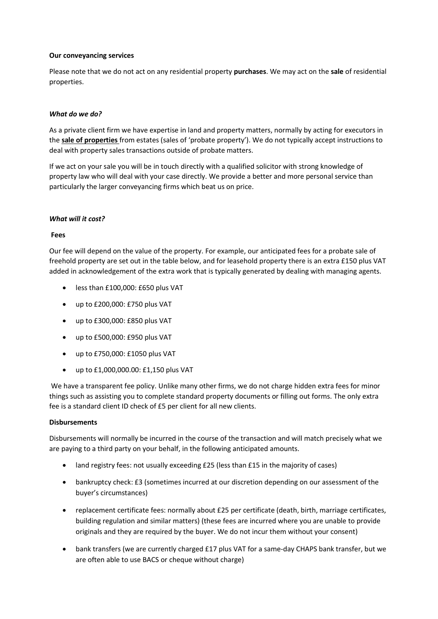#### **Our conveyancing services**

Please note that we do not act on any residential property **purchases**. We may act on the **sale** of residential properties.

#### *What do we do?*

As a private client firm we have expertise in land and property matters, normally by acting for executors in the **sale of properties** from estates (sales of 'probate property'). We do not typically accept instructions to deal with property sales transactions outside of probate matters.

If we act on your sale you will be in touch directly with a qualified solicitor with strong knowledge of property law who will deal with your case directly. We provide a better and more personal service than particularly the larger conveyancing firms which beat us on price.

#### *What will it cost?*

#### **Fees**

Our fee will depend on the value of the property. For example, our anticipated fees for a probate sale of freehold property are set out in the table below, and for leasehold property there is an extra £150 plus VAT added in acknowledgement of the extra work that is typically generated by dealing with managing agents.

- less than £100,000: £650 plus VAT
- up to £200,000: £750 plus VAT
- up to £300,000: £850 plus VAT
- up to £500,000: £950 plus VAT
- up to £750,000: £1050 plus VAT
- up to £1,000,000.00: £1,150 plus VAT

We have a transparent fee policy. Unlike many other firms, we do not charge hidden extra fees for minor things such as assisting you to complete standard property documents or filling out forms. The only extra fee is a standard client ID check of £5 per client for all new clients.

#### **Disbursements**

Disbursements will normally be incurred in the course of the transaction and will match precisely what we are paying to a third party on your behalf, in the following anticipated amounts.

- land registry fees: not usually exceeding £25 (less than £15 in the majority of cases)
- bankruptcy check: £3 (sometimes incurred at our discretion depending on our assessment of the buyer's circumstances)
- replacement certificate fees: normally about £25 per certificate (death, birth, marriage certificates, building regulation and similar matters) (these fees are incurred where you are unable to provide originals and they are required by the buyer. We do not incur them without your consent)
- bank transfers (we are currently charged £17 plus VAT for a same-day CHAPS bank transfer, but we are often able to use BACS or cheque without charge)